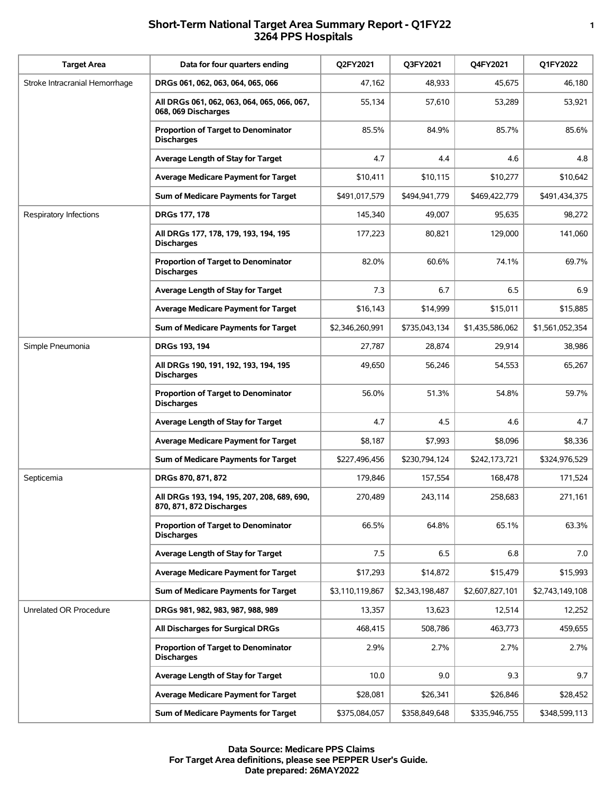## **Short-Term National Target Area Summary Report - Q1FY22 1 3264 PPS Hospitals**

| <b>Target Area</b>             | Data for four quarters ending                                           | Q2FY2021        | Q3FY2021        | Q4FY2021        | Q1FY2022        |
|--------------------------------|-------------------------------------------------------------------------|-----------------|-----------------|-----------------|-----------------|
| Stroke Intracranial Hemorrhage | DRGs 061, 062, 063, 064, 065, 066                                       | 47,162          | 48,933          | 45,675          | 46,180          |
|                                | All DRGs 061, 062, 063, 064, 065, 066, 067,<br>068, 069 Discharges      | 55,134          | 57,610          | 53,289          | 53,921          |
|                                | <b>Proportion of Target to Denominator</b><br><b>Discharges</b>         | 85.5%           | 84.9%           | 85.7%           | 85.6%           |
|                                | Average Length of Stay for Target                                       | 4.7             | 4.4             | 4.6             | 4.8             |
|                                | <b>Average Medicare Payment for Target</b>                              | \$10,411        | \$10,115        | \$10,277        | \$10,642        |
|                                | Sum of Medicare Payments for Target                                     | \$491,017,579   | \$494,941,779   | \$469,422,779   | \$491,434,375   |
| Respiratory Infections         | DRGs 177, 178                                                           | 145,340         | 49,007          | 95,635          | 98,272          |
|                                | All DRGs 177, 178, 179, 193, 194, 195<br><b>Discharges</b>              | 177,223         | 80,821          | 129,000         | 141,060         |
|                                | <b>Proportion of Target to Denominator</b><br><b>Discharges</b>         | 82.0%           | 60.6%           | 74.1%           | 69.7%           |
|                                | Average Length of Stay for Target                                       | 7.3             | 6.7             | 6.5             | 6.9             |
|                                | <b>Average Medicare Payment for Target</b>                              | \$16,143        | \$14,999        | \$15,011        | \$15,885        |
|                                | Sum of Medicare Payments for Target                                     | \$2,346,260,991 | \$735,043,134   | \$1,435,586,062 | \$1,561,052,354 |
| Simple Pneumonia               | DRGs 193, 194                                                           | 27,787          | 28,874          | 29,914          | 38,986          |
|                                | All DRGs 190, 191, 192, 193, 194, 195<br><b>Discharges</b>              | 49,650          | 56,246          | 54,553          | 65,267          |
|                                | <b>Proportion of Target to Denominator</b><br><b>Discharges</b>         | 56.0%           | 51.3%           | 54.8%           | 59.7%           |
|                                | Average Length of Stay for Target                                       | 4.7             | 4.5             | 4.6             | 4.7             |
|                                | <b>Average Medicare Payment for Target</b>                              | \$8.187         | \$7,993         | \$8,096         | \$8,336         |
|                                | Sum of Medicare Payments for Target                                     | \$227,496,456   | \$230,794,124   | \$242,173,721   | \$324,976,529   |
| Septicemia                     | DRGs 870, 871, 872                                                      | 179,846         | 157,554         | 168.478         | 171,524         |
|                                | All DRGs 193, 194, 195, 207, 208, 689, 690,<br>870, 871, 872 Discharges | 270,489         | 243.114         | 258,683         | 271,161         |
|                                | <b>Proportion of Target to Denominator</b><br><b>Discharges</b>         | 66.5%           | 64.8%           | 65.1%           | 63.3%           |
|                                | Average Length of Stay for Target                                       | 7.5             | 6.5             | 6.8             | 7.0             |
|                                | <b>Average Medicare Payment for Target</b>                              | \$17,293        | \$14,872        | \$15,479        | \$15,993        |
|                                | Sum of Medicare Payments for Target                                     | \$3,110,119,867 | \$2,343,198,487 | \$2,607,827,101 | \$2,743,149,108 |
| Unrelated OR Procedure         | DRGs 981, 982, 983, 987, 988, 989                                       | 13,357          | 13,623          | 12,514          | 12,252          |
|                                | All Discharges for Surgical DRGs                                        | 468,415         | 508,786         | 463,773         | 459,655         |
|                                | <b>Proportion of Target to Denominator</b><br><b>Discharges</b>         | 2.9%            | 2.7%            | 2.7%            | 2.7%            |
|                                | Average Length of Stay for Target                                       | 10.0            | 9.0             | 9.3             | 9.7             |
|                                | <b>Average Medicare Payment for Target</b>                              | \$28,081        | \$26,341        | \$26,846        | \$28,452        |
|                                | Sum of Medicare Payments for Target                                     | \$375,084,057   | \$358,849,648   | \$335,946,755   | \$348,599,113   |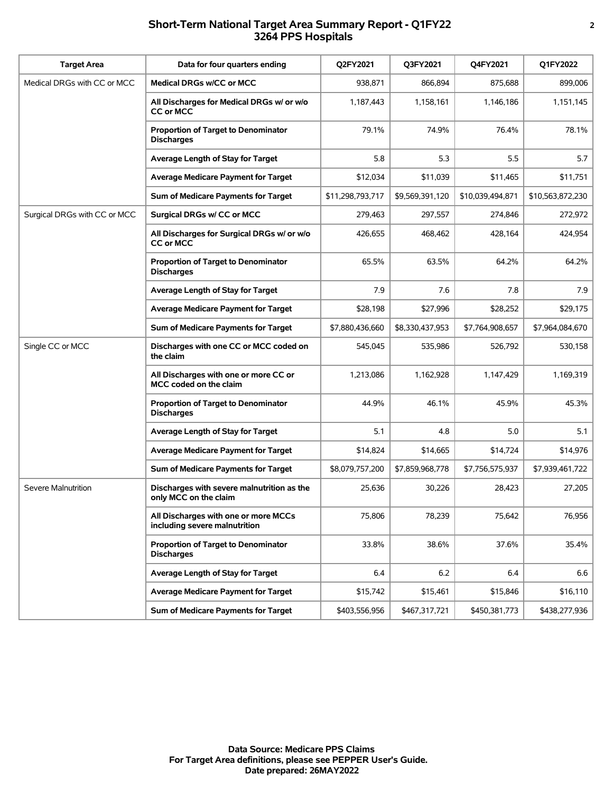### **Short-Term National Target Area Summary Report - Q1FY22 2 3264 PPS Hospitals**

| <b>Target Area</b>           | Data for four quarters ending                                         | Q2FY2021         | Q3FY2021        | Q4FY2021         | Q1FY2022         |
|------------------------------|-----------------------------------------------------------------------|------------------|-----------------|------------------|------------------|
| Medical DRGs with CC or MCC  | Medical DRGs w/CC or MCC                                              | 938,871          | 866.894         | 875,688          | 899,006          |
|                              | All Discharges for Medical DRGs w/ or w/o<br><b>CC or MCC</b>         | 1,187,443        | 1,158,161       | 1,146,186        | 1,151,145        |
|                              | <b>Proportion of Target to Denominator</b><br><b>Discharges</b>       | 79.1%            | 74.9%           | 76.4%            | 78.1%            |
|                              | Average Length of Stay for Target                                     | 5.8              | 5.3             | 5.5              | 5.7              |
|                              | <b>Average Medicare Payment for Target</b>                            | \$12,034         | \$11,039        | \$11,465         | \$11,751         |
|                              | Sum of Medicare Payments for Target                                   | \$11,298,793,717 | \$9,569,391,120 | \$10,039,494,871 | \$10,563,872,230 |
| Surgical DRGs with CC or MCC | Surgical DRGs w/ CC or MCC                                            | 279,463          | 297,557         | 274,846          | 272,972          |
|                              | All Discharges for Surgical DRGs w/ or w/o<br><b>CC or MCC</b>        | 426,655          | 468,462         | 428,164          | 424,954          |
|                              | <b>Proportion of Target to Denominator</b><br><b>Discharges</b>       | 65.5%            | 63.5%           | 64.2%            | 64.2%            |
|                              | Average Length of Stay for Target                                     | 7.9              | 7.6             | 7.8              | 7.9              |
|                              | <b>Average Medicare Payment for Target</b>                            | \$28,198         | \$27,996        | \$28,252         | \$29,175         |
|                              | Sum of Medicare Payments for Target                                   | \$7,880,436,660  | \$8,330,437,953 | \$7,764,908,657  | \$7,964,084,670  |
| Single CC or MCC             | Discharges with one CC or MCC coded on<br>the claim                   | 545,045          | 535,986         | 526,792          | 530,158          |
|                              | All Discharges with one or more CC or<br>MCC coded on the claim       | 1,213,086        | 1,162,928       | 1,147,429        | 1,169,319        |
|                              | <b>Proportion of Target to Denominator</b><br><b>Discharges</b>       | 44.9%            | 46.1%           | 45.9%            | 45.3%            |
|                              | Average Length of Stay for Target                                     | 5.1              | 4.8             | 5.0              | 5.1              |
|                              | <b>Average Medicare Payment for Target</b>                            | \$14,824         | \$14,665        | \$14,724         | \$14,976         |
|                              | Sum of Medicare Payments for Target                                   | \$8,079,757,200  | \$7,859,968,778 | \$7,756,575,937  | \$7,939,461,722  |
| Severe Malnutrition          | Discharges with severe malnutrition as the<br>only MCC on the claim   | 25,636           | 30,226          | 28,423           | 27,205           |
|                              | All Discharges with one or more MCCs<br>including severe malnutrition | 75,806           | 78,239          | 75,642           | 76,956           |
|                              | <b>Proportion of Target to Denominator</b><br><b>Discharges</b>       | 33.8%            | 38.6%           | 37.6%            | 35.4%            |
|                              | Average Length of Stay for Target                                     | 6.4              | 6.2             | 6.4              | 6.6              |
|                              | <b>Average Medicare Payment for Target</b>                            | \$15,742         | \$15,461        | \$15,846         | \$16,110         |
|                              | Sum of Medicare Payments for Target                                   | \$403,556,956    | \$467,317,721   | \$450,381,773    | \$438,277,936    |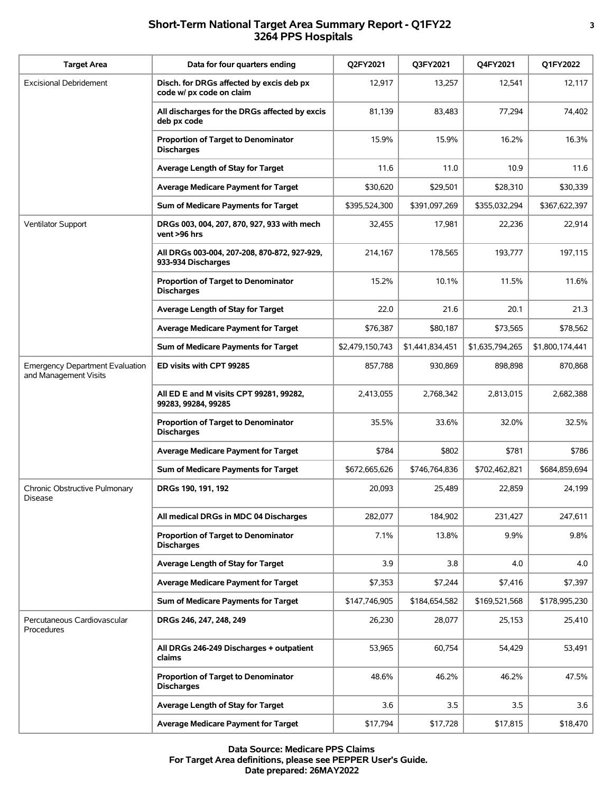## **Short-Term National Target Area Summary Report - Q1FY22 3 3264 PPS Hospitals**

| <b>Target Area</b>                                              | Data for four quarters ending                                        | <b>Q2FY2021</b> | <b>Q3FY2021</b> | Q4FY2021        | Q1FY2022        |
|-----------------------------------------------------------------|----------------------------------------------------------------------|-----------------|-----------------|-----------------|-----------------|
| <b>Excisional Debridement</b>                                   | Disch. for DRGs affected by excis deb px<br>code w/ px code on claim | 12,917          | 13,257          | 12,541          | 12,117          |
|                                                                 | All discharges for the DRGs affected by excis<br>deb px code         | 81,139          | 83,483          | 77,294          | 74,402          |
|                                                                 | <b>Proportion of Target to Denominator</b><br><b>Discharges</b>      | 15.9%           | 15.9%           | 16.2%           | 16.3%           |
|                                                                 | Average Length of Stay for Target                                    | 11.6            | 11.0            | 10.9            | 11.6            |
|                                                                 | <b>Average Medicare Payment for Target</b>                           | \$30,620        | \$29,501        | \$28.310        | \$30,339        |
|                                                                 | Sum of Medicare Payments for Target                                  | \$395,524,300   | \$391,097,269   | \$355,032,294   | \$367,622,397   |
| Ventilator Support                                              | DRGs 003, 004, 207, 870, 927, 933 with mech<br>vent >96 hrs          | 32,455          | 17,981          | 22,236          | 22,914          |
|                                                                 | All DRGs 003-004, 207-208, 870-872, 927-929,<br>933-934 Discharges   | 214,167         | 178,565         | 193,777         | 197,115         |
|                                                                 | <b>Proportion of Target to Denominator</b><br><b>Discharges</b>      | 15.2%           | 10.1%           | 11.5%           | 11.6%           |
|                                                                 | Average Length of Stay for Target                                    | 22.0            | 21.6            | 20.1            | 21.3            |
|                                                                 | <b>Average Medicare Payment for Target</b>                           | \$76,387        | \$80,187        | \$73,565        | \$78,562        |
|                                                                 | Sum of Medicare Payments for Target                                  | \$2,479,150,743 | \$1,441,834,451 | \$1,635,794,265 | \$1,800,174,441 |
| <b>Emergency Department Evaluation</b><br>and Management Visits | ED visits with CPT 99285                                             | 857,788         | 930,869         | 898,898         | 870,868         |
|                                                                 | All ED E and M visits CPT 99281, 99282,<br>99283, 99284, 99285       | 2,413,055       | 2,768,342       | 2,813,015       | 2,682,388       |
|                                                                 | <b>Proportion of Target to Denominator</b><br><b>Discharges</b>      | 35.5%           | 33.6%           | 32.0%           | 32.5%           |
|                                                                 | <b>Average Medicare Payment for Target</b>                           | \$784           | \$802           | \$781           | \$786           |
|                                                                 | Sum of Medicare Payments for Target                                  | \$672,665,626   | \$746,764,836   | \$702,462,821   | \$684,859,694   |
| Chronic Obstructive Pulmonary<br><b>Disease</b>                 | DRGs 190, 191, 192                                                   | 20,093          | 25,489          | 22,859          | 24,199          |
|                                                                 | All medical DRGs in MDC 04 Discharges                                | 282,077         | 184,902         | 231,427         | 247,611         |
|                                                                 | <b>Proportion of Target to Denominator</b><br><b>Discharges</b>      | 7.1%            | 13.8%           | 9.9%            | 9.8%            |
|                                                                 | Average Length of Stay for Target                                    | 3.9             | 3.8             | 4.0             | 4.0             |
|                                                                 | <b>Average Medicare Payment for Target</b>                           | \$7,353         | \$7,244         | \$7,416         | \$7,397         |
|                                                                 | Sum of Medicare Payments for Target                                  | \$147,746,905   | \$184,654,582   | \$169,521,568   | \$178,995,230   |
| Percutaneous Cardiovascular<br>Procedures                       | DRGs 246, 247, 248, 249                                              | 26,230          | 28,077          | 25,153          | 25,410          |
|                                                                 | All DRGs 246-249 Discharges + outpatient<br>claims                   | 53,965          | 60,754          | 54,429          | 53,491          |
|                                                                 | <b>Proportion of Target to Denominator</b><br><b>Discharges</b>      | 48.6%           | 46.2%           | 46.2%           | 47.5%           |
|                                                                 | Average Length of Stay for Target                                    | 3.6             | 3.5             | 3.5             | 3.6             |
|                                                                 | <b>Average Medicare Payment for Target</b>                           | \$17,794        | \$17,728        | \$17,815        | \$18,470        |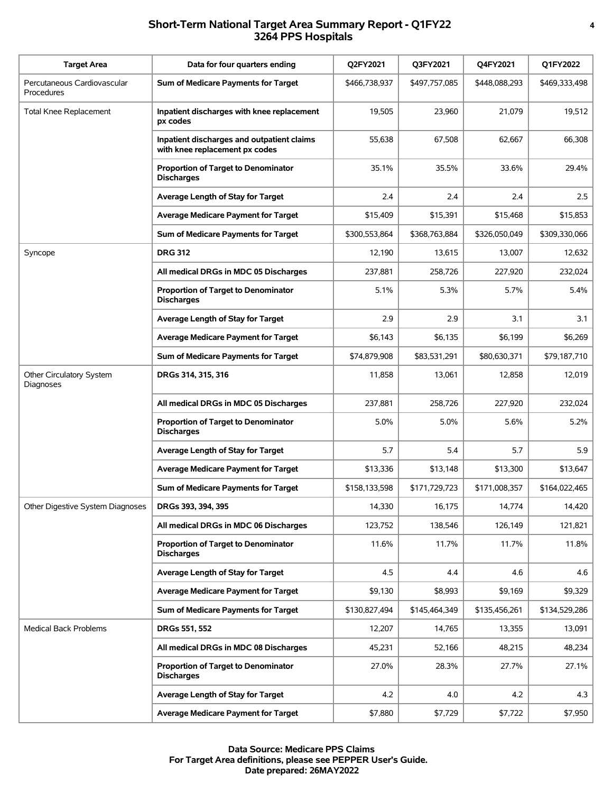# **Short-Term National Target Area Summary Report - Q1FY22 4 3264 PPS Hospitals**

| <b>Target Area</b>                        | Data for four quarters ending                                                | Q2FY2021      | Q3FY2021      | Q4FY2021      | Q1FY2022      |
|-------------------------------------------|------------------------------------------------------------------------------|---------------|---------------|---------------|---------------|
| Percutaneous Cardiovascular<br>Procedures | Sum of Medicare Payments for Target                                          | \$466,738,937 | \$497,757,085 | \$448,088,293 | \$469,333,498 |
| <b>Total Knee Replacement</b>             | Inpatient discharges with knee replacement<br>px codes                       | 19,505        | 23,960        | 21,079        | 19,512        |
|                                           | Inpatient discharges and outpatient claims<br>with knee replacement px codes | 55,638        | 67,508        | 62,667        | 66,308        |
|                                           | <b>Proportion of Target to Denominator</b><br><b>Discharges</b>              | 35.1%         | 35.5%         | 33.6%         | 29.4%         |
|                                           | Average Length of Stay for Target                                            | 2.4           | 2.4           | 2.4           | 2.5           |
|                                           | <b>Average Medicare Payment for Target</b>                                   | \$15,409      | \$15,391      | \$15,468      | \$15,853      |
|                                           | Sum of Medicare Payments for Target                                          | \$300,553,864 | \$368,763,884 | \$326,050,049 | \$309,330,066 |
| Syncope                                   | <b>DRG 312</b>                                                               | 12,190        | 13,615        | 13,007        | 12,632        |
|                                           | All medical DRGs in MDC 05 Discharges                                        | 237,881       | 258,726       | 227,920       | 232,024       |
|                                           | <b>Proportion of Target to Denominator</b><br><b>Discharges</b>              | 5.1%          | 5.3%          | 5.7%          | 5.4%          |
|                                           | Average Length of Stay for Target                                            | 2.9           | 2.9           | 3.1           | 3.1           |
|                                           | <b>Average Medicare Payment for Target</b>                                   | \$6,143       | \$6,135       | \$6,199       | \$6,269       |
|                                           | Sum of Medicare Payments for Target                                          | \$74,879,908  | \$83,531,291  | \$80,630,371  | \$79,187,710  |
| Other Circulatory System<br>Diagnoses     | DRGs 314, 315, 316                                                           | 11,858        | 13,061        | 12,858        | 12,019        |
|                                           | All medical DRGs in MDC 05 Discharges                                        | 237,881       | 258,726       | 227,920       | 232,024       |
|                                           | <b>Proportion of Target to Denominator</b><br><b>Discharges</b>              | 5.0%          | 5.0%          | 5.6%          | 5.2%          |
|                                           | Average Length of Stay for Target                                            | 5.7           | 5.4           | 5.7           | 5.9           |
|                                           | <b>Average Medicare Payment for Target</b>                                   | \$13,336      | \$13,148      | \$13,300      | \$13,647      |
|                                           | Sum of Medicare Payments for Target                                          | \$158,133,598 | \$171,729,723 | \$171,008,357 | \$164,022,465 |
| Other Digestive System Diagnoses          | DRGs 393, 394, 395                                                           | 14,330        | 16,175        | 14,774        | 14,420        |
|                                           | All medical DRGs in MDC 06 Discharges                                        | 123,752       | 138,546       | 126,149       | 121,821       |
|                                           | <b>Proportion of Target to Denominator</b><br><b>Discharges</b>              | 11.6%         | 11.7%         | 11.7%         | 11.8%         |
|                                           | Average Length of Stay for Target                                            | 4.5           | 4.4           | 4.6           | 4.6           |
|                                           | Average Medicare Payment for Target                                          | \$9,130       | \$8,993       | \$9,169       | \$9,329       |
|                                           | Sum of Medicare Payments for Target                                          | \$130,827,494 | \$145,464,349 | \$135,456,261 | \$134,529,286 |
| Medical Back Problems                     | <b>DRGs 551, 552</b>                                                         | 12,207        | 14,765        | 13,355        | 13,091        |
|                                           | All medical DRGs in MDC 08 Discharges                                        | 45,231        | 52,166        | 48,215        | 48,234        |
|                                           | <b>Proportion of Target to Denominator</b><br><b>Discharges</b>              | 27.0%         | 28.3%         | 27.7%         | 27.1%         |
|                                           | Average Length of Stay for Target                                            | 4.2           | 4.0           | 4.2           | 4.3           |
|                                           | <b>Average Medicare Payment for Target</b>                                   | \$7,880       | \$7,729       | \$7,722       | \$7,950       |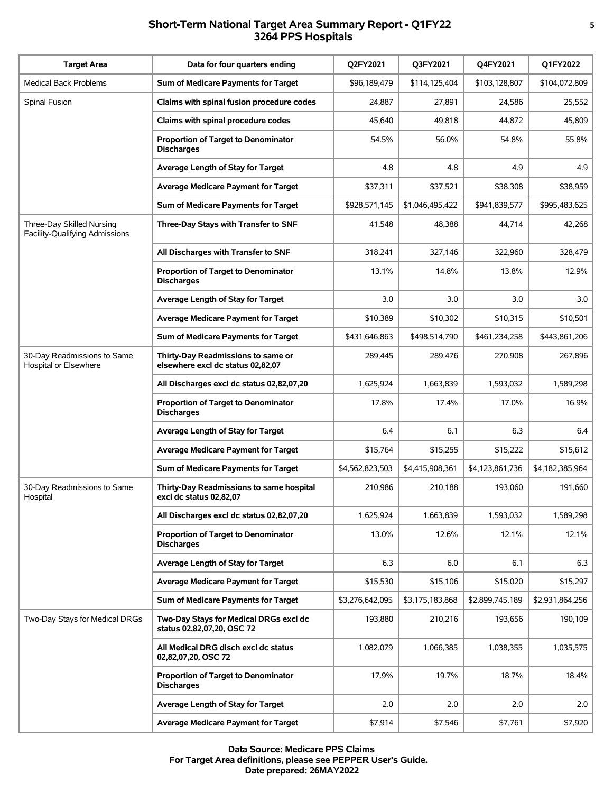# **Short-Term National Target Area Summary Report - Q1FY22 5 3264 PPS Hospitals**

| <b>Target Area</b>                                          | Data for four quarters ending                                           | Q2FY2021        | Q3FY2021        | Q4FY2021        | Q1FY2022        |
|-------------------------------------------------------------|-------------------------------------------------------------------------|-----------------|-----------------|-----------------|-----------------|
| <b>Medical Back Problems</b>                                | Sum of Medicare Payments for Target                                     | \$96,189,479    | \$114,125,404   | \$103,128,807   | \$104,072,809   |
| Spinal Fusion                                               | Claims with spinal fusion procedure codes                               | 24,887          | 27,891          | 24,586          | 25,552          |
|                                                             | Claims with spinal procedure codes                                      | 45,640          | 49,818          | 44,872          | 45.809          |
|                                                             | <b>Proportion of Target to Denominator</b><br><b>Discharges</b>         | 54.5%           | 56.0%           | 54.8%           | 55.8%           |
|                                                             | Average Length of Stay for Target                                       | 4.8             | 4.8             | 4.9             | 4.9             |
|                                                             | <b>Average Medicare Payment for Target</b>                              | \$37,311        | \$37,521        | \$38,308        | \$38,959        |
|                                                             | Sum of Medicare Payments for Target                                     | \$928,571,145   | \$1,046,495,422 | \$941,839,577   | \$995,483,625   |
| Three-Day Skilled Nursing<br>Facility-Qualifying Admissions | Three-Day Stays with Transfer to SNF                                    | 41,548          | 48,388          | 44,714          | 42,268          |
|                                                             | All Discharges with Transfer to SNF                                     | 318,241         | 327,146         | 322,960         | 328,479         |
|                                                             | <b>Proportion of Target to Denominator</b><br><b>Discharges</b>         | 13.1%           | 14.8%           | 13.8%           | 12.9%           |
|                                                             | Average Length of Stay for Target                                       | 3.0             | 3.0             | 3.0             | 3.0             |
|                                                             | <b>Average Medicare Payment for Target</b>                              | \$10,389        | \$10,302        | \$10,315        | \$10,501        |
|                                                             | Sum of Medicare Payments for Target                                     | \$431,646,863   | \$498,514,790   | \$461,234,258   | \$443,861,206   |
| 30-Day Readmissions to Same<br>Hospital or Elsewhere        | Thirty-Day Readmissions to same or<br>elsewhere excl dc status 02,82,07 | 289,445         | 289,476         | 270,908         | 267,896         |
|                                                             | All Discharges excl dc status 02,82,07,20                               | 1,625,924       | 1,663,839       | 1,593,032       | 1,589,298       |
|                                                             | <b>Proportion of Target to Denominator</b><br><b>Discharges</b>         | 17.8%           | 17.4%           | 17.0%           | 16.9%           |
|                                                             | Average Length of Stay for Target                                       | 6.4             | 6.1             | 6.3             | 6.4             |
|                                                             | Average Medicare Payment for Target                                     | \$15,764        | \$15,255        | \$15,222        | \$15,612        |
|                                                             | Sum of Medicare Payments for Target                                     | \$4,562,823,503 | \$4,415,908,361 | \$4,123,861,736 | \$4,182,385,964 |
| 30-Day Readmissions to Same<br>Hospital                     | Thirty-Day Readmissions to same hospital<br>excl dc status 02,82,07     | 210,986         | 210,188         | 193,060         | 191,660         |
|                                                             | All Discharges excl dc status 02,82,07,20                               | 1,625,924       | 1,663,839       | 1,593,032       | 1,589,298       |
|                                                             | <b>Proportion of Target to Denominator</b><br><b>Discharges</b>         | 13.0%           | 12.6%           | 12.1%           | 12.1%           |
|                                                             | Average Length of Stay for Target                                       | 6.3             | 6.0             | 6.1             | 6.3             |
|                                                             | <b>Average Medicare Payment for Target</b>                              | \$15,530        | \$15,106        | \$15,020        | \$15,297        |
|                                                             | Sum of Medicare Payments for Target                                     | \$3,276,642,095 | \$3,175,183,868 | \$2,899,745,189 | \$2,931,864,256 |
| Two-Day Stays for Medical DRGs                              | Two-Day Stays for Medical DRGs excl dc<br>status 02,82,07,20, OSC 72    | 193,880         | 210,216         | 193,656         | 190,109         |
|                                                             | All Medical DRG disch excl dc status<br>02,82,07,20, OSC 72             | 1,082,079       | 1,066,385       | 1,038,355       | 1,035,575       |
|                                                             | <b>Proportion of Target to Denominator</b><br><b>Discharges</b>         | 17.9%           | 19.7%           | 18.7%           | 18.4%           |
|                                                             | Average Length of Stay for Target                                       | 2.0             | 2.0             | 2.0             | 2.0             |
|                                                             | <b>Average Medicare Payment for Target</b>                              | \$7,914         | \$7,546         | \$7,761         | \$7,920         |